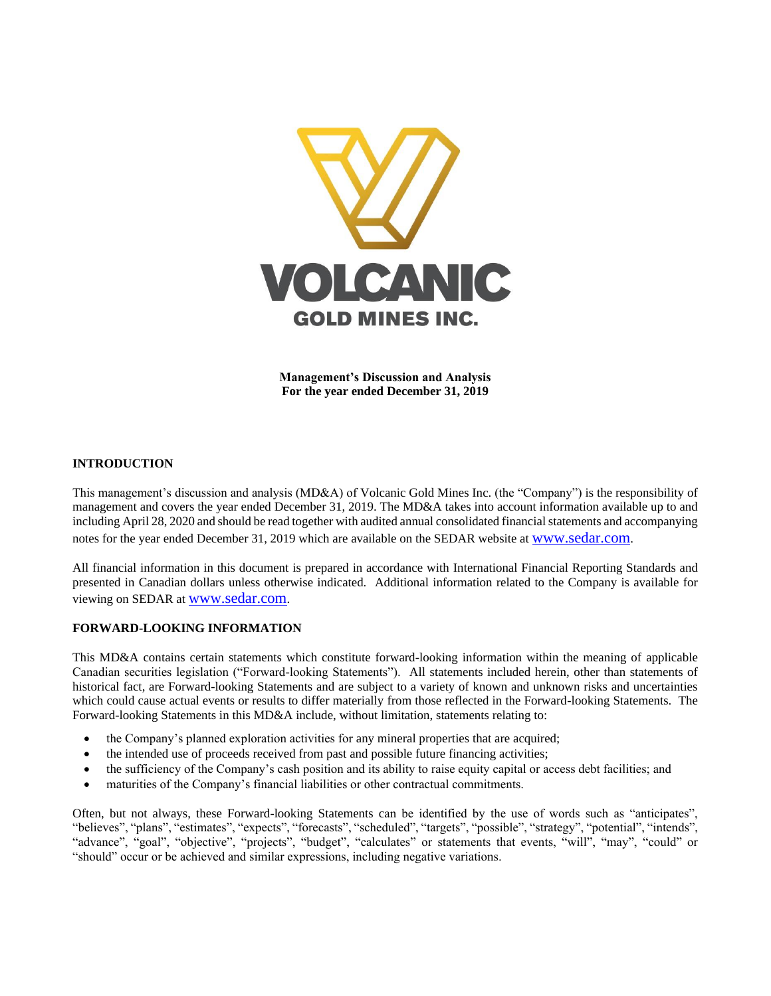

**Management's Discussion and Analysis For the year ended December 31, 2019**

# **INTRODUCTION**

This management's discussion and analysis (MD&A) of Volcanic Gold Mines Inc. (the "Company") is the responsibility of management and covers the year ended December 31, 2019. The MD&A takes into account information available up to and including April 28, 2020 and should be read together with audited annual consolidated financial statements and accompanying notes for the year ended December 31, 2019 which are available on the SEDAR website at [www.sedar.com](http://www.sedar.com/).

All financial information in this document is prepared in accordance with International Financial Reporting Standards and presented in Canadian dollars unless otherwise indicated. Additional information related to the Company is available for viewing on SEDAR at [www.sedar.com](http://www.sedar.com/).

## **FORWARD-LOOKING INFORMATION**

This MD&A contains certain statements which constitute forward-looking information within the meaning of applicable Canadian securities legislation ("Forward-looking Statements"). All statements included herein, other than statements of historical fact, are Forward-looking Statements and are subject to a variety of known and unknown risks and uncertainties which could cause actual events or results to differ materially from those reflected in the Forward-looking Statements. The Forward-looking Statements in this MD&A include, without limitation, statements relating to:

- the Company's planned exploration activities for any mineral properties that are acquired;
- the intended use of proceeds received from past and possible future financing activities;
- the sufficiency of the Company's cash position and its ability to raise equity capital or access debt facilities; and
- maturities of the Company's financial liabilities or other contractual commitments.

Often, but not always, these Forward-looking Statements can be identified by the use of words such as "anticipates", "believes", "plans", "estimates", "expects", "forecasts", "scheduled", "targets", "possible", "strategy", "potential", "intends", "advance", "goal", "objective", "projects", "budget", "calculates" or statements that events, "will", "may", "could" or "should" occur or be achieved and similar expressions, including negative variations.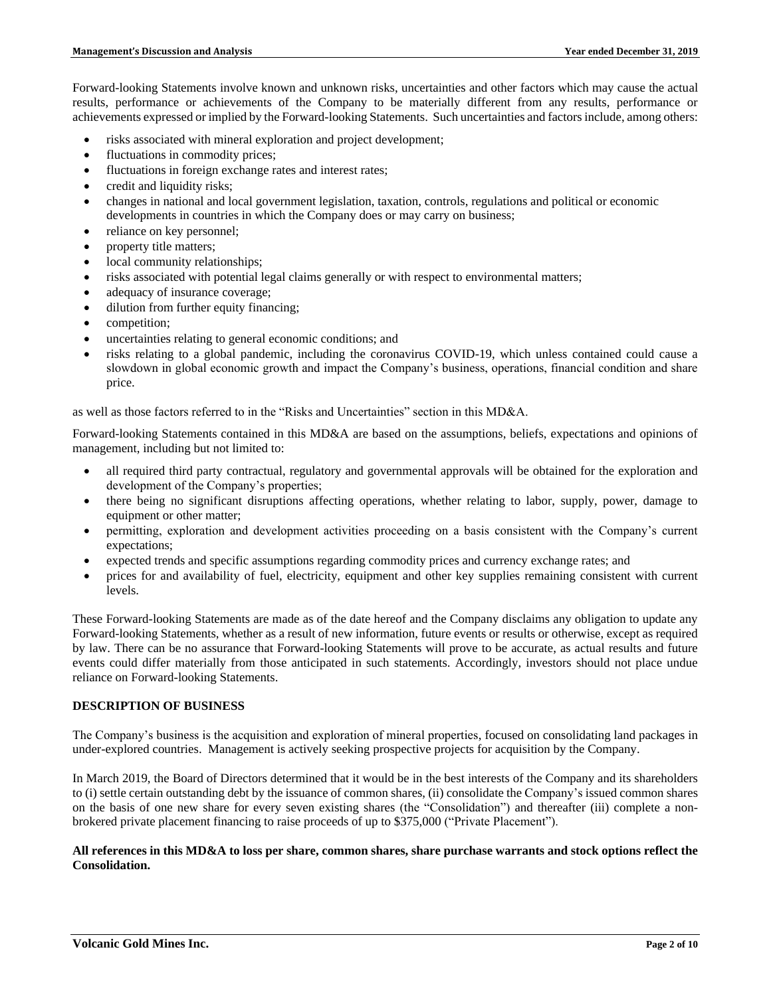Forward-looking Statements involve known and unknown risks, uncertainties and other factors which may cause the actual results, performance or achievements of the Company to be materially different from any results, performance or achievements expressed or implied by the Forward-looking Statements. Such uncertainties and factors include, among others:

- risks associated with mineral exploration and project development;
- fluctuations in commodity prices;
- fluctuations in foreign exchange rates and interest rates;
- credit and liquidity risks;
- changes in national and local government legislation, taxation, controls, regulations and political or economic developments in countries in which the Company does or may carry on business;
- reliance on key personnel;
- property title matters;
- local community relationships;
- risks associated with potential legal claims generally or with respect to environmental matters;
- adequacy of insurance coverage;
- dilution from further equity financing;
- competition;
- uncertainties relating to general economic conditions; and
- risks relating to a global pandemic, including the coronavirus COVID-19, which unless contained could cause a slowdown in global economic growth and impact the Company's business, operations, financial condition and share price.

as well as those factors referred to in the "Risks and Uncertainties" section in this MD&A.

Forward-looking Statements contained in this MD&A are based on the assumptions, beliefs, expectations and opinions of management, including but not limited to:

- all required third party contractual, regulatory and governmental approvals will be obtained for the exploration and development of the Company's properties;
- there being no significant disruptions affecting operations, whether relating to labor, supply, power, damage to equipment or other matter;
- permitting, exploration and development activities proceeding on a basis consistent with the Company's current expectations;
- expected trends and specific assumptions regarding commodity prices and currency exchange rates; and
- prices for and availability of fuel, electricity, equipment and other key supplies remaining consistent with current levels.

These Forward-looking Statements are made as of the date hereof and the Company disclaims any obligation to update any Forward-looking Statements, whether as a result of new information, future events or results or otherwise, except as required by law. There can be no assurance that Forward-looking Statements will prove to be accurate, as actual results and future events could differ materially from those anticipated in such statements. Accordingly, investors should not place undue reliance on Forward-looking Statements.

## **DESCRIPTION OF BUSINESS**

The Company's business is the acquisition and exploration of mineral properties, focused on consolidating land packages in under-explored countries. Management is actively seeking prospective projects for acquisition by the Company.

In March 2019, the Board of Directors determined that it would be in the best interests of the Company and its shareholders to (i) settle certain outstanding debt by the issuance of common shares, (ii) consolidate the Company's issued common shares on the basis of one new share for every seven existing shares (the "Consolidation") and thereafter (iii) complete a nonbrokered private placement financing to raise proceeds of up to \$375,000 ("Private Placement").

### **All references in this MD&A to loss per share, common shares, share purchase warrants and stock options reflect the Consolidation.**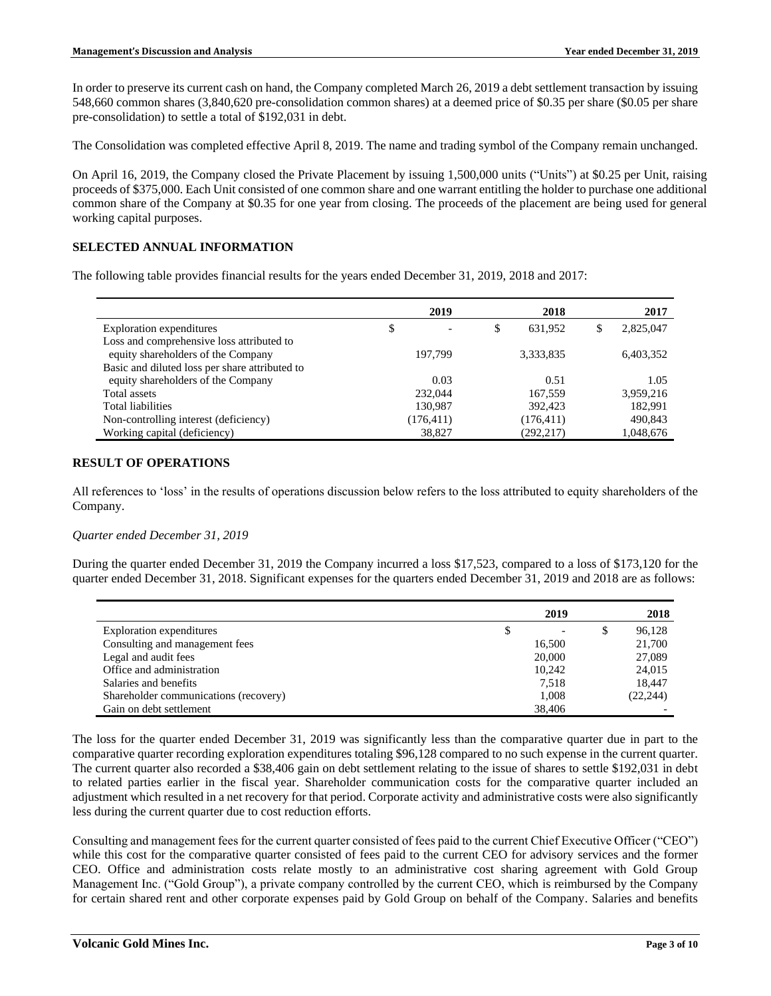In order to preserve its current cash on hand, the Company completed March 26, 2019 a debt settlement transaction by issuing 548,660 common shares (3,840,620 pre-consolidation common shares) at a deemed price of \$0.35 per share (\$0.05 per share pre-consolidation) to settle a total of \$192,031 in debt.

The Consolidation was completed effective April 8, 2019. The name and trading symbol of the Company remain unchanged.

On April 16, 2019, the Company closed the Private Placement by issuing 1,500,000 units ("Units") at \$0.25 per Unit, raising proceeds of \$375,000. Each Unit consisted of one common share and one warrant entitling the holder to purchase one additional common share of the Company at \$0.35 for one year from closing. The proceeds of the placement are being used for general working capital purposes.

## **SELECTED ANNUAL INFORMATION**

The following table provides financial results for the years ended December 31, 2019, 2018 and 2017:

|                                                | 2019       | 2018          | 2017      |
|------------------------------------------------|------------|---------------|-----------|
| Exploration expenditures                       | \$         | \$<br>631.952 | 2,825,047 |
| Loss and comprehensive loss attributed to      |            |               |           |
| equity shareholders of the Company             | 197.799    | 3,333,835     | 6,403,352 |
| Basic and diluted loss per share attributed to |            |               |           |
| equity shareholders of the Company             | 0.03       | 0.51          | 1.05      |
| Total assets                                   | 232,044    | 167,559       | 3,959,216 |
| <b>Total liabilities</b>                       | 130.987    | 392,423       | 182.991   |
| Non-controlling interest (deficiency)          | (176, 411) | (176, 411)    | 490,843   |
| Working capital (deficiency)                   | 38.827     | (292, 217)    | 1,048,676 |

## **RESULT OF OPERATIONS**

All references to 'loss' in the results of operations discussion below refers to the loss attributed to equity shareholders of the Company.

#### *Quarter ended December 31, 2019*

During the quarter ended December 31, 2019 the Company incurred a loss \$17,523, compared to a loss of \$173,120 for the quarter ended December 31, 2018. Significant expenses for the quarters ended December 31, 2019 and 2018 are as follows:

|                                       | 2019   | 2018         |
|---------------------------------------|--------|--------------|
| Exploration expenditures              |        | \$<br>96,128 |
| Consulting and management fees        | 16,500 | 21,700       |
| Legal and audit fees                  | 20,000 | 27,089       |
| Office and administration             | 10.242 | 24,015       |
| Salaries and benefits                 | 7,518  | 18,447       |
| Shareholder communications (recovery) | 1,008  | (22, 244)    |
| Gain on debt settlement               | 38,406 |              |

The loss for the quarter ended December 31, 2019 was significantly less than the comparative quarter due in part to the comparative quarter recording exploration expenditures totaling \$96,128 compared to no such expense in the current quarter. The current quarter also recorded a \$38,406 gain on debt settlement relating to the issue of shares to settle \$192,031 in debt to related parties earlier in the fiscal year. Shareholder communication costs for the comparative quarter included an adjustment which resulted in a net recovery for that period. Corporate activity and administrative costs were also significantly less during the current quarter due to cost reduction efforts.

Consulting and management fees for the current quarter consisted of fees paid to the current Chief Executive Officer ("CEO") while this cost for the comparative quarter consisted of fees paid to the current CEO for advisory services and the former CEO. Office and administration costs relate mostly to an administrative cost sharing agreement with Gold Group Management Inc. ("Gold Group"), a private company controlled by the current CEO, which is reimbursed by the Company for certain shared rent and other corporate expenses paid by Gold Group on behalf of the Company. Salaries and benefits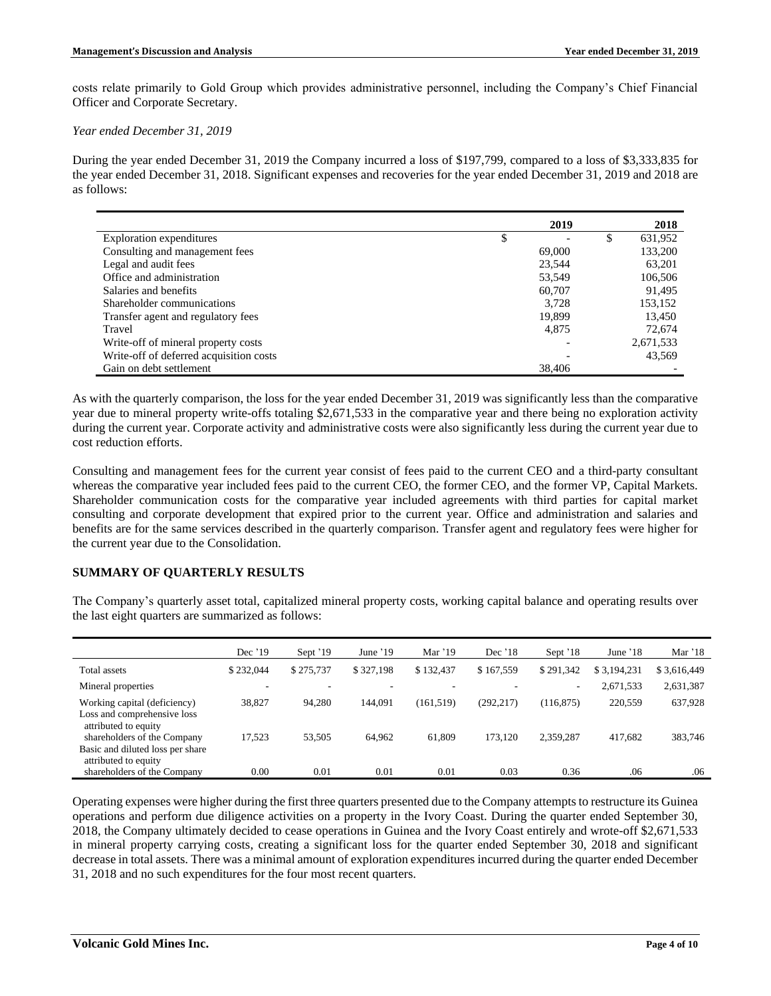costs relate primarily to Gold Group which provides administrative personnel, including the Company's Chief Financial Officer and Corporate Secretary.

*Year ended December 31, 2019*

During the year ended December 31, 2019 the Company incurred a loss of \$197,799, compared to a loss of \$3,333,835 for the year ended December 31, 2018. Significant expenses and recoveries for the year ended December 31, 2019 and 2018 are as follows:

|                                         | 2019   | 2018      |
|-----------------------------------------|--------|-----------|
| Exploration expenditures                | \$     | 631,952   |
| Consulting and management fees          | 69,000 | 133,200   |
| Legal and audit fees                    | 23,544 | 63,201    |
| Office and administration               | 53.549 | 106,506   |
| Salaries and benefits                   | 60,707 | 91,495    |
| Shareholder communications              | 3.728  | 153,152   |
| Transfer agent and regulatory fees      | 19,899 | 13,450    |
| Travel                                  | 4,875  | 72,674    |
| Write-off of mineral property costs     |        | 2,671,533 |
| Write-off of deferred acquisition costs |        | 43,569    |
| Gain on debt settlement                 | 38,406 |           |

As with the quarterly comparison, the loss for the year ended December 31, 2019 was significantly less than the comparative year due to mineral property write-offs totaling \$2,671,533 in the comparative year and there being no exploration activity during the current year. Corporate activity and administrative costs were also significantly less during the current year due to cost reduction efforts.

Consulting and management fees for the current year consist of fees paid to the current CEO and a third-party consultant whereas the comparative year included fees paid to the current CEO, the former CEO, and the former VP, Capital Markets. Shareholder communication costs for the comparative year included agreements with third parties for capital market consulting and corporate development that expired prior to the current year. Office and administration and salaries and benefits are for the same services described in the quarterly comparison. Transfer agent and regulatory fees were higher for the current year due to the Consolidation.

## **SUMMARY OF QUARTERLY RESULTS**

The Company's quarterly asset total, capitalized mineral property costs, working capital balance and operating results over the last eight quarters are summarized as follows:

|                                                                                     | Dec $'19$ | Sept '19  | June $'19$ | Mar $'19$  | Dec $'18$  | Sept '18   | June $'18$  | Mar '18     |
|-------------------------------------------------------------------------------------|-----------|-----------|------------|------------|------------|------------|-------------|-------------|
| Total assets                                                                        | \$232,044 | \$275,737 | \$327,198  | \$132,437  | \$167,559  | \$291,342  | \$3.194.231 | \$3,616,449 |
| Mineral properties                                                                  | -         |           |            |            |            | -          | 2,671,533   | 2,631,387   |
| Working capital (deficiency)<br>Loss and comprehensive loss<br>attributed to equity | 38,827    | 94,280    | 144,091    | (161, 519) | (292, 217) | (116, 875) | 220,559     | 637,928     |
| shareholders of the Company<br>Basic and diluted loss per share                     | 17.523    | 53,505    | 64,962     | 61.809     | 173,120    | 2,359,287  | 417,682     | 383,746     |
| attributed to equity<br>shareholders of the Company                                 | 0.00      | 0.01      | 0.01       | 0.01       | 0.03       | 0.36       | .06         | .06         |

Operating expenses were higher during the first three quarters presented due to the Company attemptsto restructure its Guinea operations and perform due diligence activities on a property in the Ivory Coast. During the quarter ended September 30, 2018, the Company ultimately decided to cease operations in Guinea and the Ivory Coast entirely and wrote-off \$2,671,533 in mineral property carrying costs, creating a significant loss for the quarter ended September 30, 2018 and significant decrease in total assets. There was a minimal amount of exploration expenditures incurred during the quarter ended December 31, 2018 and no such expenditures for the four most recent quarters.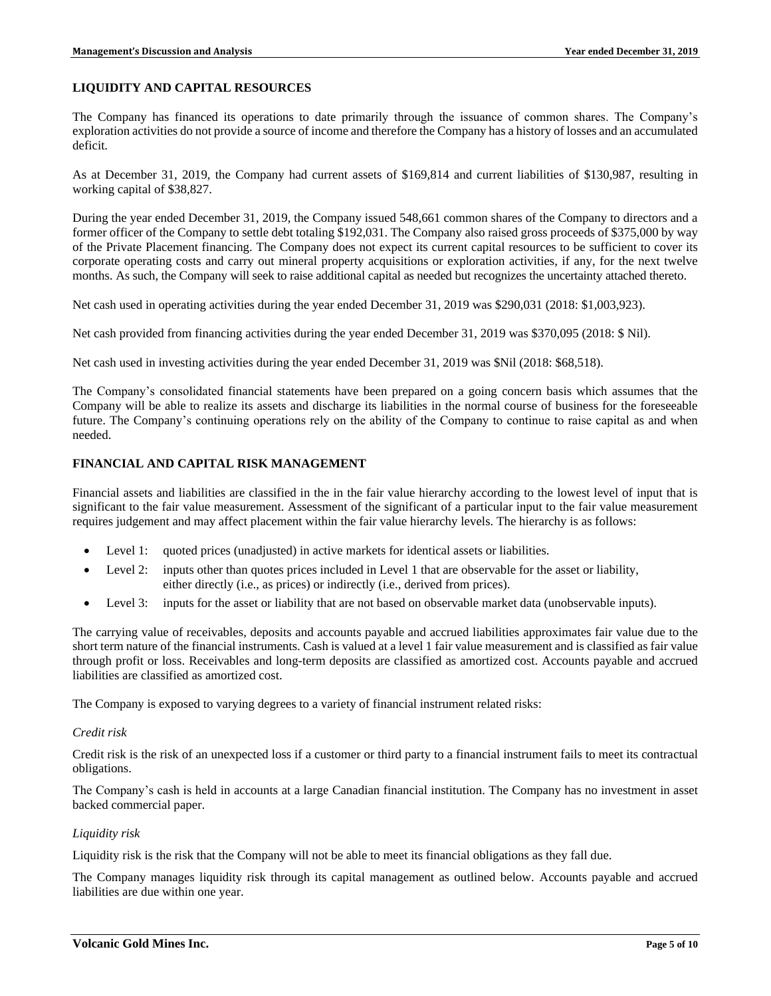### **LIQUIDITY AND CAPITAL RESOURCES**

The Company has financed its operations to date primarily through the issuance of common shares. The Company's exploration activities do not provide a source of income and therefore the Company has a history of losses and an accumulated deficit.

As at December 31, 2019, the Company had current assets of \$169,814 and current liabilities of \$130,987, resulting in working capital of \$38,827.

During the year ended December 31, 2019, the Company issued 548,661 common shares of the Company to directors and a former officer of the Company to settle debt totaling \$192,031. The Company also raised gross proceeds of \$375,000 by way of the Private Placement financing. The Company does not expect its current capital resources to be sufficient to cover its corporate operating costs and carry out mineral property acquisitions or exploration activities, if any, for the next twelve months. As such, the Company will seek to raise additional capital as needed but recognizes the uncertainty attached thereto.

Net cash used in operating activities during the year ended December 31, 2019 was \$290,031 (2018: \$1,003,923).

Net cash provided from financing activities during the year ended December 31, 2019 was \$370,095 (2018: \$ Nil).

Net cash used in investing activities during the year ended December 31, 2019 was \$Nil (2018: \$68,518).

The Company's consolidated financial statements have been prepared on a going concern basis which assumes that the Company will be able to realize its assets and discharge its liabilities in the normal course of business for the foreseeable future. The Company's continuing operations rely on the ability of the Company to continue to raise capital as and when needed.

# **FINANCIAL AND CAPITAL RISK MANAGEMENT**

Financial assets and liabilities are classified in the in the fair value hierarchy according to the lowest level of input that is significant to the fair value measurement. Assessment of the significant of a particular input to the fair value measurement requires judgement and may affect placement within the fair value hierarchy levels. The hierarchy is as follows:

- Level 1: quoted prices (unadjusted) in active markets for identical assets or liabilities.
- Level 2: inputs other than quotes prices included in Level 1 that are observable for the asset or liability, either directly (i.e., as prices) or indirectly (i.e., derived from prices).
- Level 3: inputs for the asset or liability that are not based on observable market data (unobservable inputs).

The carrying value of receivables, deposits and accounts payable and accrued liabilities approximates fair value due to the short term nature of the financial instruments. Cash is valued at a level 1 fair value measurement and is classified as fair value through profit or loss. Receivables and long-term deposits are classified as amortized cost. Accounts payable and accrued liabilities are classified as amortized cost.

The Company is exposed to varying degrees to a variety of financial instrument related risks:

#### *Credit risk*

Credit risk is the risk of an unexpected loss if a customer or third party to a financial instrument fails to meet its contractual obligations.

The Company's cash is held in accounts at a large Canadian financial institution. The Company has no investment in asset backed commercial paper.

#### *Liquidity risk*

Liquidity risk is the risk that the Company will not be able to meet its financial obligations as they fall due.

The Company manages liquidity risk through its capital management as outlined below. Accounts payable and accrued liabilities are due within one year.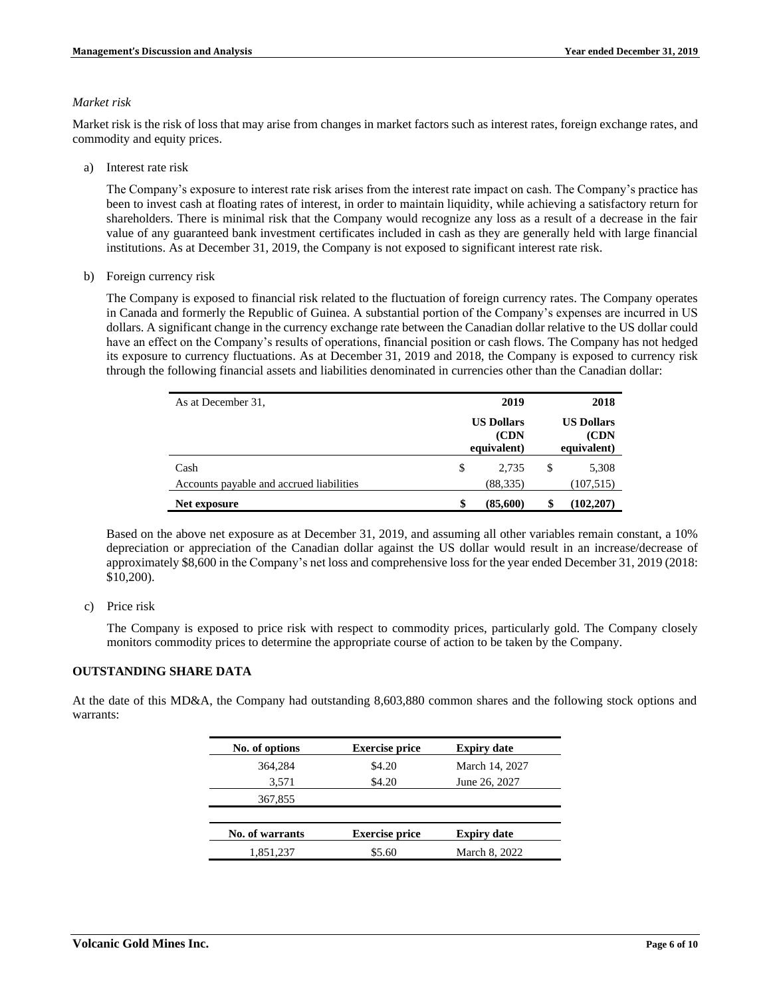### *Market risk*

Market risk is the risk of loss that may arise from changes in market factors such as interest rates, foreign exchange rates, and commodity and equity prices.

a) Interest rate risk

The Company's exposure to interest rate risk arises from the interest rate impact on cash. The Company's practice has been to invest cash at floating rates of interest, in order to maintain liquidity, while achieving a satisfactory return for shareholders. There is minimal risk that the Company would recognize any loss as a result of a decrease in the fair value of any guaranteed bank investment certificates included in cash as they are generally held with large financial institutions. As at December 31, 2019, the Company is not exposed to significant interest rate risk.

b) Foreign currency risk

The Company is exposed to financial risk related to the fluctuation of foreign currency rates. The Company operates in Canada and formerly the Republic of Guinea. A substantial portion of the Company's expenses are incurred in US dollars. A significant change in the currency exchange rate between the Canadian dollar relative to the US dollar could have an effect on the Company's results of operations, financial position or cash flows. The Company has not hedged its exposure to currency fluctuations. As at December 31, 2019 and 2018, the Company is exposed to currency risk through the following financial assets and liabilities denominated in currencies other than the Canadian dollar:

| As at December 31,                       | 2019                                      |   | 2018                                      |
|------------------------------------------|-------------------------------------------|---|-------------------------------------------|
|                                          | <b>US Dollars</b><br>(CDN)<br>equivalent) |   | <b>US Dollars</b><br>(CDN)<br>equivalent) |
| Cash                                     | \$<br>2.735                               | S | 5,308                                     |
| Accounts payable and accrued liabilities | (88, 335)                                 |   | (107, 515)                                |
| Net exposure                             | \$<br>(85,600)                            |   | (102, 207)                                |

Based on the above net exposure as at December 31, 2019, and assuming all other variables remain constant, a 10% depreciation or appreciation of the Canadian dollar against the US dollar would result in an increase/decrease of approximately \$8,600 in the Company's net loss and comprehensive loss for the year ended December 31, 2019 (2018: \$10,200).

c) Price risk

The Company is exposed to price risk with respect to commodity prices, particularly gold. The Company closely monitors commodity prices to determine the appropriate course of action to be taken by the Company.

## **OUTSTANDING SHARE DATA**

At the date of this MD&A, the Company had outstanding 8,603,880 common shares and the following stock options and warrants:

| No. of options  | <b>Exercise price</b> | <b>Expiry date</b> |
|-----------------|-----------------------|--------------------|
| 364,284         | \$4.20                | March 14, 2027     |
| 3,571           | \$4.20                | June 26, 2027      |
| 367,855         |                       |                    |
|                 |                       |                    |
| No. of warrants | <b>Exercise price</b> | <b>Expiry date</b> |
| 1,851,237       | \$5.60                | March 8, 2022      |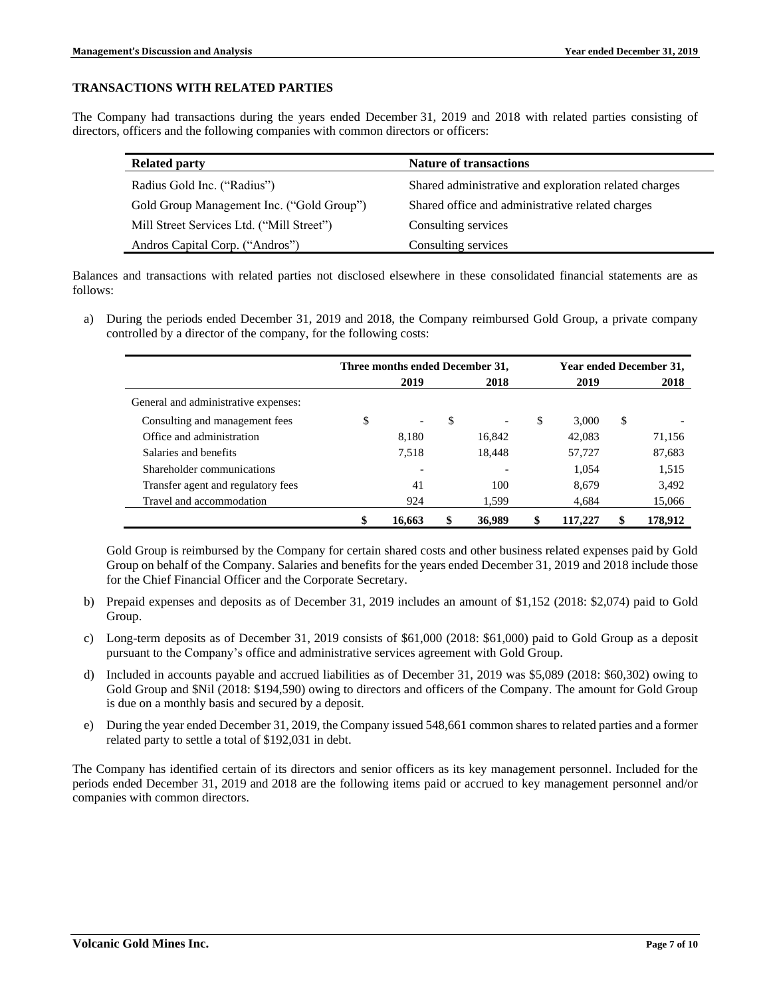### **TRANSACTIONS WITH RELATED PARTIES**

The Company had transactions during the years ended December 31, 2019 and 2018 with related parties consisting of directors, officers and the following companies with common directors or officers:

| <b>Related party</b>                      | <b>Nature of transactions</b>                         |
|-------------------------------------------|-------------------------------------------------------|
| Radius Gold Inc. ("Radius")               | Shared administrative and exploration related charges |
| Gold Group Management Inc. ("Gold Group") | Shared office and administrative related charges      |
| Mill Street Services Ltd. ("Mill Street") | Consulting services                                   |
| Andros Capital Corp. ("Andros")           | Consulting services                                   |

Balances and transactions with related parties not disclosed elsewhere in these consolidated financial statements are as follows:

a) During the periods ended December 31, 2019 and 2018, the Company reimbursed Gold Group, a private company controlled by a director of the company, for the following costs:

|                                      | Three months ended December 31, |        |    |                          | Year ended December 31, |   |         |
|--------------------------------------|---------------------------------|--------|----|--------------------------|-------------------------|---|---------|
|                                      |                                 | 2019   |    | 2018                     | 2019                    |   | 2018    |
| General and administrative expenses: |                                 |        |    |                          |                         |   |         |
| Consulting and management fees       | \$                              |        | \$ | $\overline{\phantom{a}}$ | \$<br>3.000             | S |         |
| Office and administration            |                                 | 8,180  |    | 16,842                   | 42,083                  |   | 71,156  |
| Salaries and benefits                |                                 | 7.518  |    | 18,448                   | 57,727                  |   | 87,683  |
| Shareholder communications           |                                 |        |    |                          | 1,054                   |   | 1,515   |
| Transfer agent and regulatory fees   |                                 | 41     |    | 100                      | 8,679                   |   | 3,492   |
| Travel and accommodation             |                                 | 924    |    | 1,599                    | 4,684                   |   | 15,066  |
|                                      | \$                              | 16.663 | \$ | 36,989                   | \$<br>117,227           |   | 178.912 |

Gold Group is reimbursed by the Company for certain shared costs and other business related expenses paid by Gold Group on behalf of the Company. Salaries and benefits for the years ended December 31, 2019 and 2018 include those for the Chief Financial Officer and the Corporate Secretary.

- b) Prepaid expenses and deposits as of December 31, 2019 includes an amount of \$1,152 (2018: \$2,074) paid to Gold Group.
- c) Long-term deposits as of December 31, 2019 consists of \$61,000 (2018: \$61,000) paid to Gold Group as a deposit pursuant to the Company's office and administrative services agreement with Gold Group.
- d) Included in accounts payable and accrued liabilities as of December 31, 2019 was \$5,089 (2018: \$60,302) owing to Gold Group and \$Nil (2018: \$194,590) owing to directors and officers of the Company. The amount for Gold Group is due on a monthly basis and secured by a deposit.
- e) During the year ended December 31, 2019, the Company issued 548,661 common shares to related parties and a former related party to settle a total of \$192,031 in debt.

The Company has identified certain of its directors and senior officers as its key management personnel. Included for the periods ended December 31, 2019 and 2018 are the following items paid or accrued to key management personnel and/or companies with common directors.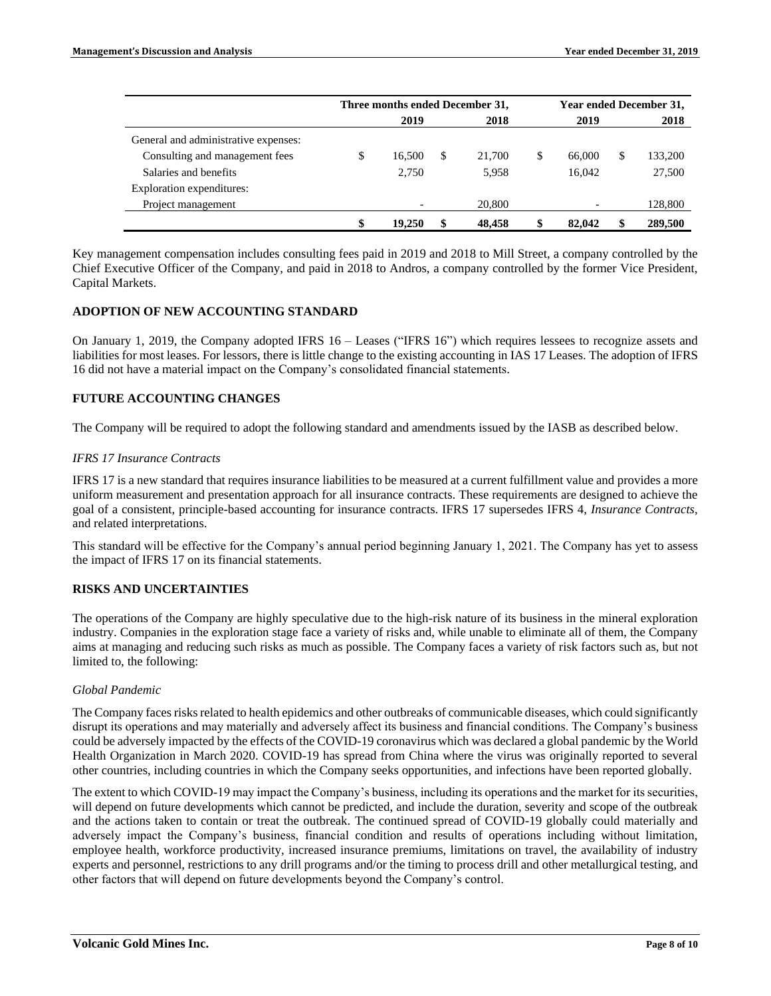|                                      | Three months ended December 31, |        |    |        | <b>Year ended December 31,</b> |        |    |         |
|--------------------------------------|---------------------------------|--------|----|--------|--------------------------------|--------|----|---------|
|                                      |                                 | 2019   |    | 2018   |                                | 2019   |    | 2018    |
| General and administrative expenses: |                                 |        |    |        |                                |        |    |         |
| Consulting and management fees       | \$                              | 16.500 | \$ | 21,700 | \$                             | 66,000 | \$ | 133,200 |
| Salaries and benefits                |                                 | 2.750  |    | 5.958  |                                | 16.042 |    | 27,500  |
| Exploration expenditures:            |                                 |        |    |        |                                |        |    |         |
| Project management                   |                                 |        |    | 20,800 |                                |        |    | 128,800 |
|                                      | \$                              | 19.250 | \$ | 48.458 | \$                             | 82,042 |    | 289,500 |

Key management compensation includes consulting fees paid in 2019 and 2018 to Mill Street, a company controlled by the Chief Executive Officer of the Company, and paid in 2018 to Andros, a company controlled by the former Vice President, Capital Markets.

# **ADOPTION OF NEW ACCOUNTING STANDARD**

On January 1, 2019, the Company adopted IFRS 16 – Leases ("IFRS 16") which requires lessees to recognize assets and liabilities for most leases. For lessors, there is little change to the existing accounting in IAS 17 Leases. The adoption of IFRS 16 did not have a material impact on the Company's consolidated financial statements.

# **FUTURE ACCOUNTING CHANGES**

The Company will be required to adopt the following standard and amendments issued by the IASB as described below.

## *IFRS 17 Insurance Contracts*

IFRS 17 is a new standard that requires insurance liabilities to be measured at a current fulfillment value and provides a more uniform measurement and presentation approach for all insurance contracts. These requirements are designed to achieve the goal of a consistent, principle-based accounting for insurance contracts. IFRS 17 supersedes IFRS 4, *Insurance Contracts*, and related interpretations.

This standard will be effective for the Company's annual period beginning January 1, 2021. The Company has yet to assess the impact of IFRS 17 on its financial statements.

## **RISKS AND UNCERTAINTIES**

The operations of the Company are highly speculative due to the high-risk nature of its business in the mineral exploration industry. Companies in the exploration stage face a variety of risks and, while unable to eliminate all of them, the Company aims at managing and reducing such risks as much as possible. The Company faces a variety of risk factors such as, but not limited to, the following:

## *Global Pandemic*

The Company faces risks related to health epidemics and other outbreaks of communicable diseases, which could significantly disrupt its operations and may materially and adversely affect its business and financial conditions. The Company's business could be adversely impacted by the effects of the COVID-19 coronavirus which was declared a global pandemic by the World Health Organization in March 2020. COVID-19 has spread from China where the virus was originally reported to several other countries, including countries in which the Company seeks opportunities, and infections have been reported globally.

The extent to which COVID-19 may impact the Company's business, including its operations and the market for its securities, will depend on future developments which cannot be predicted, and include the duration, severity and scope of the outbreak and the actions taken to contain or treat the outbreak. The continued spread of COVID-19 globally could materially and adversely impact the Company's business, financial condition and results of operations including without limitation, employee health, workforce productivity, increased insurance premiums, limitations on travel, the availability of industry experts and personnel, restrictions to any drill programs and/or the timing to process drill and other metallurgical testing, and other factors that will depend on future developments beyond the Company's control.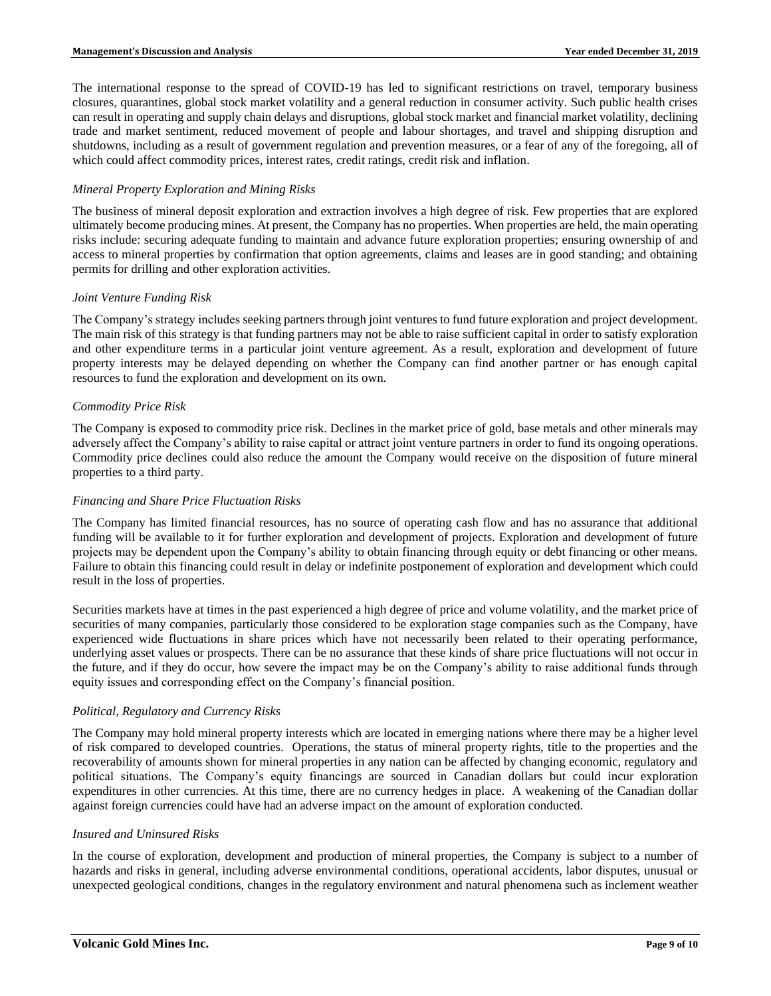The international response to the spread of COVID-19 has led to significant restrictions on travel, temporary business closures, quarantines, global stock market volatility and a general reduction in consumer activity. Such public health crises can result in operating and supply chain delays and disruptions, global stock market and financial market volatility, declining trade and market sentiment, reduced movement of people and labour shortages, and travel and shipping disruption and shutdowns, including as a result of government regulation and prevention measures, or a fear of any of the foregoing, all of which could affect commodity prices, interest rates, credit ratings, credit risk and inflation.

### *Mineral Property Exploration and Mining Risks*

The business of mineral deposit exploration and extraction involves a high degree of risk. Few properties that are explored ultimately become producing mines. At present, the Company has no properties. When properties are held, the main operating risks include: securing adequate funding to maintain and advance future exploration properties; ensuring ownership of and access to mineral properties by confirmation that option agreements, claims and leases are in good standing; and obtaining permits for drilling and other exploration activities.

### *Joint Venture Funding Risk*

The Company's strategy includes seeking partners through joint ventures to fund future exploration and project development. The main risk of this strategy is that funding partners may not be able to raise sufficient capital in order to satisfy exploration and other expenditure terms in a particular joint venture agreement. As a result, exploration and development of future property interests may be delayed depending on whether the Company can find another partner or has enough capital resources to fund the exploration and development on its own.

### *Commodity Price Risk*

The Company is exposed to commodity price risk. Declines in the market price of gold, base metals and other minerals may adversely affect the Company's ability to raise capital or attract joint venture partners in order to fund its ongoing operations. Commodity price declines could also reduce the amount the Company would receive on the disposition of future mineral properties to a third party.

### *Financing and Share Price Fluctuation Risks*

The Company has limited financial resources, has no source of operating cash flow and has no assurance that additional funding will be available to it for further exploration and development of projects. Exploration and development of future projects may be dependent upon the Company's ability to obtain financing through equity or debt financing or other means. Failure to obtain this financing could result in delay or indefinite postponement of exploration and development which could result in the loss of properties.

Securities markets have at times in the past experienced a high degree of price and volume volatility, and the market price of securities of many companies, particularly those considered to be exploration stage companies such as the Company, have experienced wide fluctuations in share prices which have not necessarily been related to their operating performance, underlying asset values or prospects. There can be no assurance that these kinds of share price fluctuations will not occur in the future, and if they do occur, how severe the impact may be on the Company's ability to raise additional funds through equity issues and corresponding effect on the Company's financial position.

#### *Political, Regulatory and Currency Risks*

The Company may hold mineral property interests which are located in emerging nations where there may be a higher level of risk compared to developed countries. Operations, the status of mineral property rights, title to the properties and the recoverability of amounts shown for mineral properties in any nation can be affected by changing economic, regulatory and political situations. The Company's equity financings are sourced in Canadian dollars but could incur exploration expenditures in other currencies. At this time, there are no currency hedges in place. A weakening of the Canadian dollar against foreign currencies could have had an adverse impact on the amount of exploration conducted.

#### *Insured and Uninsured Risks*

In the course of exploration, development and production of mineral properties, the Company is subject to a number of hazards and risks in general, including adverse environmental conditions, operational accidents, labor disputes, unusual or unexpected geological conditions, changes in the regulatory environment and natural phenomena such as inclement weather